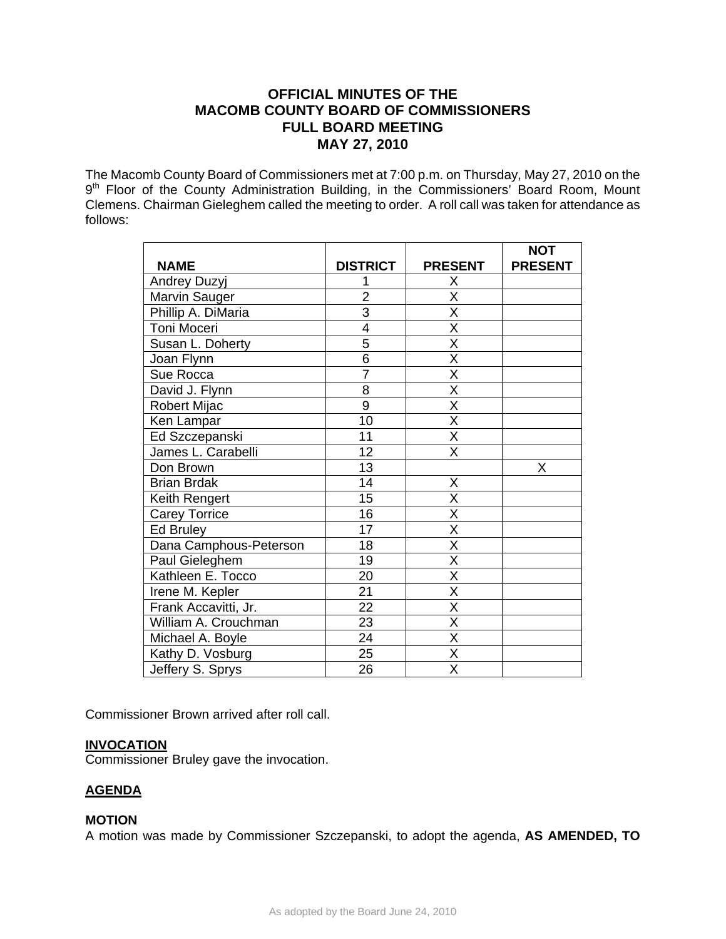# **OFFICIAL MINUTES OF THE MACOMB COUNTY BOARD OF COMMISSIONERS FULL BOARD MEETING MAY 27, 2010**

The Macomb County Board of Commissioners met at 7:00 p.m. on Thursday, May 27, 2010 on the 9<sup>th</sup> Floor of the County Administration Building, in the Commissioners' Board Room, Mount Clemens. Chairman Gieleghem called the meeting to order. A roll call was taken for attendance as follows:

|                        |                 |                         | <b>NOT</b>     |
|------------------------|-----------------|-------------------------|----------------|
| <b>NAME</b>            | <b>DISTRICT</b> | <b>PRESENT</b>          | <b>PRESENT</b> |
| Andrey Duzyj           |                 | Χ                       |                |
| Marvin Sauger          | $\overline{2}$  | X                       |                |
| Phillip A. DiMaria     | $\overline{3}$  | $\overline{\mathsf{X}}$ |                |
| Toni Moceri            | $\overline{4}$  | $\overline{\mathsf{x}}$ |                |
| Susan L. Doherty       | 5               | X                       |                |
| Joan Flynn             | $\overline{6}$  | X                       |                |
| Sue Rocca              | $\overline{7}$  | $\overline{\mathsf{x}}$ |                |
| David J. Flynn         | 8               | X                       |                |
| Robert Mijac           | $\overline{9}$  | $\overline{\mathsf{x}}$ |                |
| Ken Lampar             | 10              | X                       |                |
| Ed Szczepanski         | 11              | $\overline{\mathsf{x}}$ |                |
| James L. Carabelli     | 12              | $\overline{\mathsf{X}}$ |                |
| Don Brown              | 13              |                         | Χ              |
| <b>Brian Brdak</b>     | 14              | X                       |                |
| Keith Rengert          | 15              | $\overline{\mathsf{x}}$ |                |
| <b>Carey Torrice</b>   | 16              | $\overline{\mathsf{x}}$ |                |
| <b>Ed Bruley</b>       | 17              | $\overline{\mathsf{x}}$ |                |
| Dana Camphous-Peterson | 18              | $\overline{\mathsf{x}}$ |                |
| Paul Gieleghem         | 19              | $\overline{\mathsf{x}}$ |                |
| Kathleen E. Tocco      | 20              | $\overline{\mathsf{x}}$ |                |
| Irene M. Kepler        | 21              | $\overline{\mathsf{x}}$ |                |
| Frank Accavitti, Jr.   | 22              | X                       |                |
| William A. Crouchman   | 23              | $\overline{\mathsf{x}}$ |                |
| Michael A. Boyle       | 24              | $\overline{\mathsf{X}}$ |                |
| Kathy D. Vosburg       | 25              | $\overline{\mathsf{x}}$ |                |
| Jeffery S. Sprys       | 26              | $\overline{\mathsf{x}}$ |                |

Commissioner Brown arrived after roll call.

## **INVOCATION**

Commissioner Bruley gave the invocation.

# **AGENDA**

## **MOTION**

A motion was made by Commissioner Szczepanski, to adopt the agenda, **AS AMENDED, TO**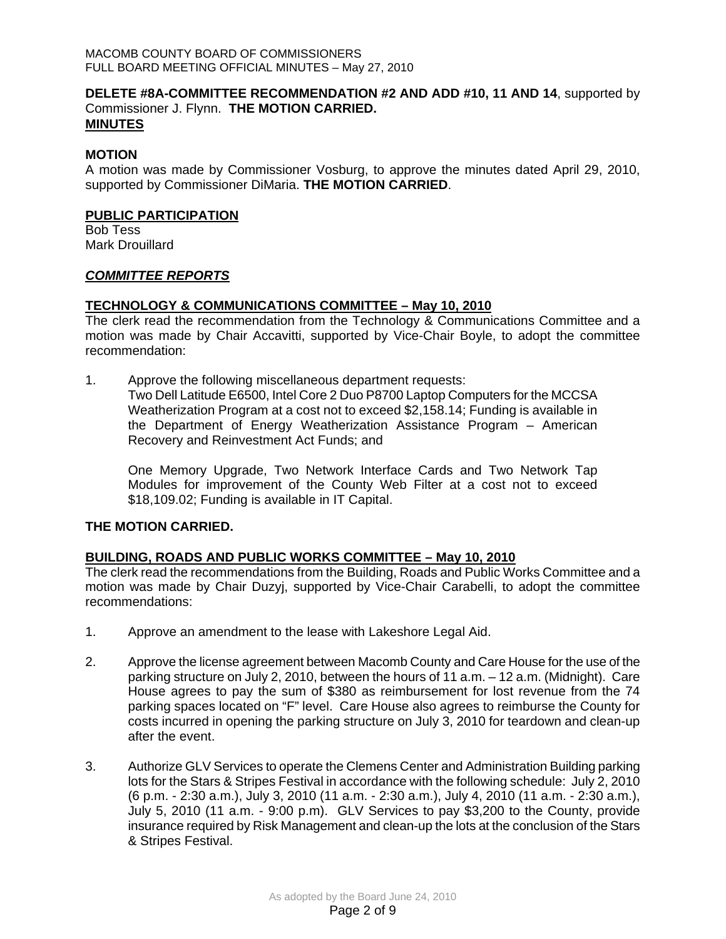### **DELETE #8A-COMMITTEE RECOMMENDATION #2 AND ADD #10, 11 AND 14**, supported by Commissioner J. Flynn. **THE MOTION CARRIED. MINUTES**

## **MOTION**

A motion was made by Commissioner Vosburg, to approve the minutes dated April 29, 2010, supported by Commissioner DiMaria. **THE MOTION CARRIED**.

### **PUBLIC PARTICIPATION**

Bob Tess Mark Drouillard

### *COMMITTEE REPORTS*

## **TECHNOLOGY & COMMUNICATIONS COMMITTEE – May 10, 2010**

The clerk read the recommendation from the Technology & Communications Committee and a motion was made by Chair Accavitti, supported by Vice-Chair Boyle, to adopt the committee recommendation:

1. Approve the following miscellaneous department requests: Two Dell Latitude E6500, Intel Core 2 Duo P8700 Laptop Computers for the MCCSA Weatherization Program at a cost not to exceed \$2,158.14; Funding is available in the Department of Energy Weatherization Assistance Program – American Recovery and Reinvestment Act Funds; and

One Memory Upgrade, Two Network Interface Cards and Two Network Tap Modules for improvement of the County Web Filter at a cost not to exceed \$18,109.02; Funding is available in IT Capital.

## **THE MOTION CARRIED.**

## **BUILDING, ROADS AND PUBLIC WORKS COMMITTEE – May 10, 2010**

The clerk read the recommendations from the Building, Roads and Public Works Committee and a motion was made by Chair Duzyj, supported by Vice-Chair Carabelli, to adopt the committee recommendations:

- 1. Approve an amendment to the lease with Lakeshore Legal Aid.
- 2. Approve the license agreement between Macomb County and Care House for the use of the parking structure on July 2, 2010, between the hours of 11 a.m. – 12 a.m. (Midnight). Care House agrees to pay the sum of \$380 as reimbursement for lost revenue from the 74 parking spaces located on "F" level. Care House also agrees to reimburse the County for costs incurred in opening the parking structure on July 3, 2010 for teardown and clean-up after the event.
- 3. Authorize GLV Services to operate the Clemens Center and Administration Building parking lots for the Stars & Stripes Festival in accordance with the following schedule: July 2, 2010 (6 p.m. - 2:30 a.m.), July 3, 2010 (11 a.m. - 2:30 a.m.), July 4, 2010 (11 a.m. - 2:30 a.m.), July 5, 2010 (11 a.m. - 9:00 p.m). GLV Services to pay \$3,200 to the County, provide insurance required by Risk Management and clean-up the lots at the conclusion of the Stars & Stripes Festival.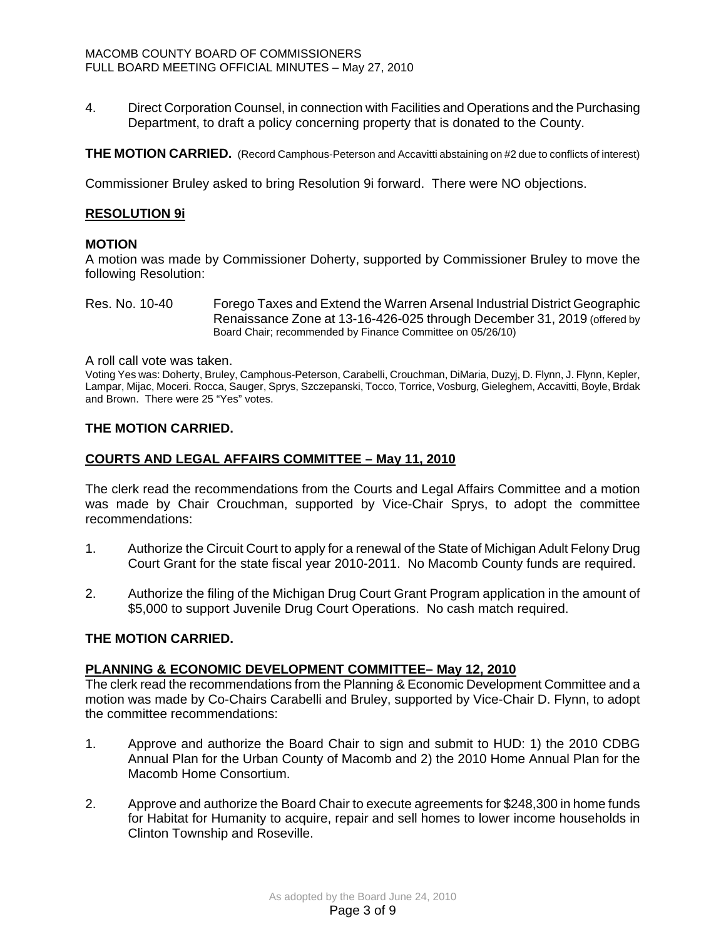4. Direct Corporation Counsel, in connection with Facilities and Operations and the Purchasing Department, to draft a policy concerning property that is donated to the County.

**THE MOTION CARRIED.** (Record Camphous-Peterson and Accavitti abstaining on #2 due to conflicts of interest)

Commissioner Bruley asked to bring Resolution 9i forward. There were NO objections.

## **RESOLUTION 9i**

## **MOTION**

A motion was made by Commissioner Doherty, supported by Commissioner Bruley to move the following Resolution:

Res. No. 10-40 Forego Taxes and Extend the Warren Arsenal Industrial District Geographic Renaissance Zone at 13-16-426-025 through December 31, 2019 (offered by Board Chair; recommended by Finance Committee on 05/26/10)

A roll call vote was taken.

Voting Yes was: Doherty, Bruley, Camphous-Peterson, Carabelli, Crouchman, DiMaria, Duzyj, D. Flynn, J. Flynn, Kepler, Lampar, Mijac, Moceri. Rocca, Sauger, Sprys, Szczepanski, Tocco, Torrice, Vosburg, Gieleghem, Accavitti, Boyle, Brdak and Brown. There were 25 "Yes" votes.

## **THE MOTION CARRIED.**

## **COURTS AND LEGAL AFFAIRS COMMITTEE – May 11, 2010**

The clerk read the recommendations from the Courts and Legal Affairs Committee and a motion was made by Chair Crouchman, supported by Vice-Chair Sprys, to adopt the committee recommendations:

- 1. Authorize the Circuit Court to apply for a renewal of the State of Michigan Adult Felony Drug Court Grant for the state fiscal year 2010-2011. No Macomb County funds are required.
- 2. Authorize the filing of the Michigan Drug Court Grant Program application in the amount of \$5,000 to support Juvenile Drug Court Operations. No cash match required.

## **THE MOTION CARRIED.**

## **PLANNING & ECONOMIC DEVELOPMENT COMMITTEE– May 12, 2010**

The clerk read the recommendations from the Planning & Economic Development Committee and a motion was made by Co-Chairs Carabelli and Bruley, supported by Vice-Chair D. Flynn, to adopt the committee recommendations:

- 1. Approve and authorize the Board Chair to sign and submit to HUD: 1) the 2010 CDBG Annual Plan for the Urban County of Macomb and 2) the 2010 Home Annual Plan for the Macomb Home Consortium.
- 2. Approve and authorize the Board Chair to execute agreements for \$248,300 in home funds for Habitat for Humanity to acquire, repair and sell homes to lower income households in Clinton Township and Roseville.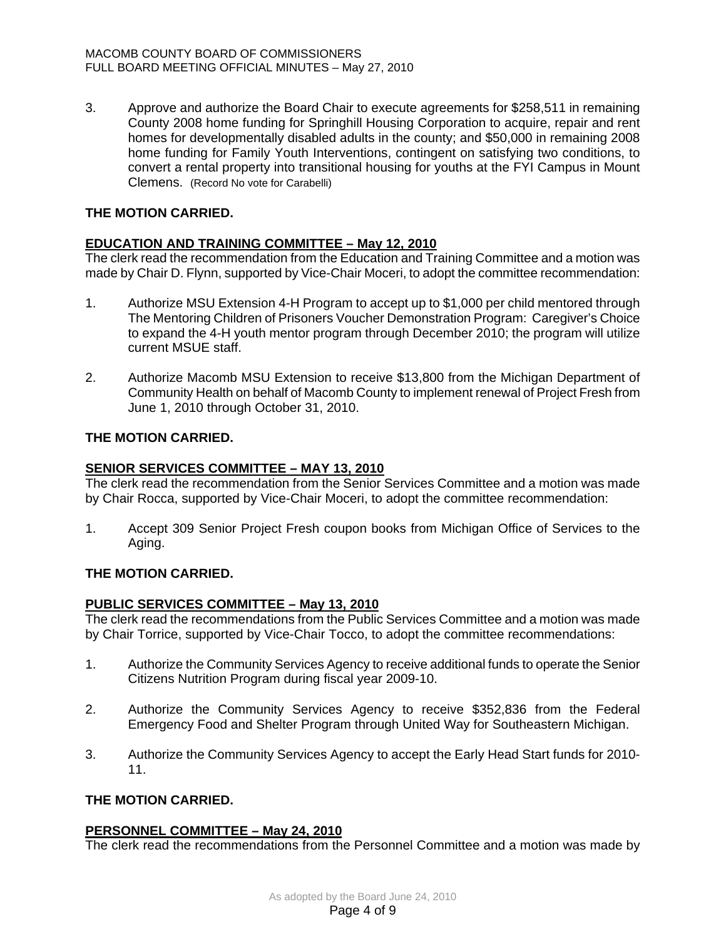3. Approve and authorize the Board Chair to execute agreements for \$258,511 in remaining County 2008 home funding for Springhill Housing Corporation to acquire, repair and rent homes for developmentally disabled adults in the county; and \$50,000 in remaining 2008 home funding for Family Youth Interventions, contingent on satisfying two conditions, to convert a rental property into transitional housing for youths at the FYI Campus in Mount Clemens. (Record No vote for Carabelli)

# **THE MOTION CARRIED.**

# **EDUCATION AND TRAINING COMMITTEE – May 12, 2010**

The clerk read the recommendation from the Education and Training Committee and a motion was made by Chair D. Flynn, supported by Vice-Chair Moceri, to adopt the committee recommendation:

- 1. Authorize MSU Extension 4-H Program to accept up to \$1,000 per child mentored through The Mentoring Children of Prisoners Voucher Demonstration Program: Caregiver's Choice to expand the 4-H youth mentor program through December 2010; the program will utilize current MSUE staff.
- 2. Authorize Macomb MSU Extension to receive \$13,800 from the Michigan Department of Community Health on behalf of Macomb County to implement renewal of Project Fresh from June 1, 2010 through October 31, 2010.

# **THE MOTION CARRIED.**

## **SENIOR SERVICES COMMITTEE – MAY 13, 2010**

The clerk read the recommendation from the Senior Services Committee and a motion was made by Chair Rocca, supported by Vice-Chair Moceri, to adopt the committee recommendation:

1. Accept 309 Senior Project Fresh coupon books from Michigan Office of Services to the Aging.

# **THE MOTION CARRIED.**

## **PUBLIC SERVICES COMMITTEE – May 13, 2010**

The clerk read the recommendations from the Public Services Committee and a motion was made by Chair Torrice, supported by Vice-Chair Tocco, to adopt the committee recommendations:

- 1. Authorize the Community Services Agency to receive additional funds to operate the Senior Citizens Nutrition Program during fiscal year 2009-10.
- 2. Authorize the Community Services Agency to receive \$352,836 from the Federal Emergency Food and Shelter Program through United Way for Southeastern Michigan.
- 3. Authorize the Community Services Agency to accept the Early Head Start funds for 2010- 11.

## **THE MOTION CARRIED.**

## **PERSONNEL COMMITTEE – May 24, 2010**

The clerk read the recommendations from the Personnel Committee and a motion was made by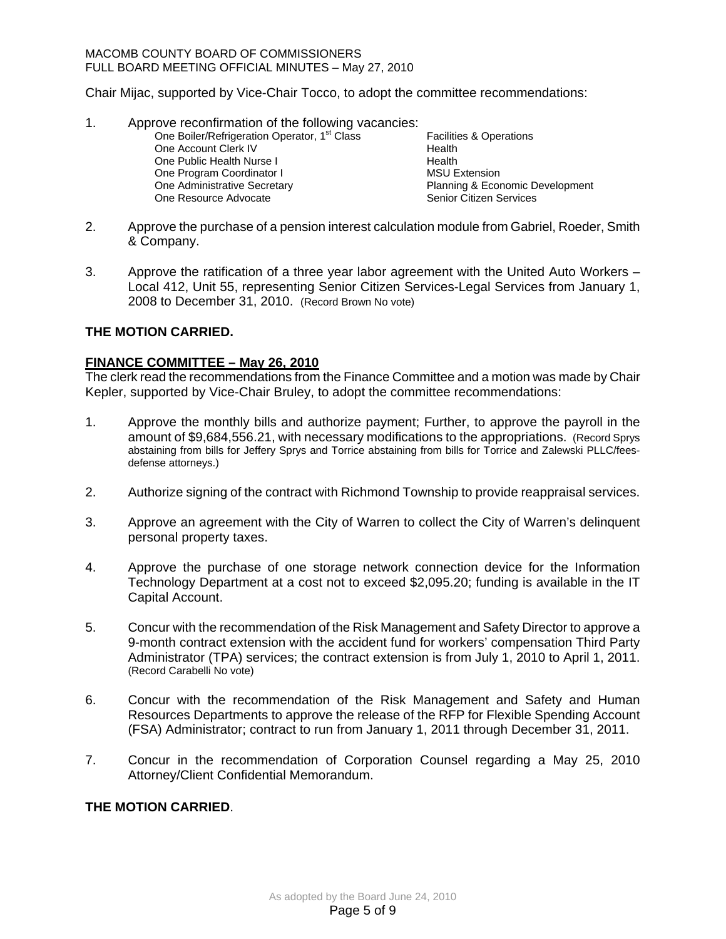#### MACOMB COUNTY BOARD OF COMMISSIONERS FULL BOARD MEETING OFFICIAL MINUTES – May 27, 2010

Chair Mijac, supported by Vice-Chair Tocco, to adopt the committee recommendations:

- 1. Approve reconfirmation of the following vacancies: One Boiler/Refrigeration Operator, 1<sup>st</sup> Class Facilities & Operations One Account Clerk IV **Health** One Public Health Nurse I **Health** One Program Coordinator I<br>
One Administrative Secretary<br>
One Administrative Secretary<br>
One Administrative Secretary Planning & Economic Development One Resource Advocate New York Senior Citizen Services
- 2. Approve the purchase of a pension interest calculation module from Gabriel, Roeder, Smith & Company.
- 3. Approve the ratification of a three year labor agreement with the United Auto Workers Local 412, Unit 55, representing Senior Citizen Services-Legal Services from January 1, 2008 to December 31, 2010. (Record Brown No vote)

## **THE MOTION CARRIED.**

## **FINANCE COMMITTEE – May 26, 2010**

The clerk read the recommendations from the Finance Committee and a motion was made by Chair Kepler, supported by Vice-Chair Bruley, to adopt the committee recommendations:

- 1. Approve the monthly bills and authorize payment; Further, to approve the payroll in the amount of \$9,684,556.21, with necessary modifications to the appropriations. (Record Sprys abstaining from bills for Jeffery Sprys and Torrice abstaining from bills for Torrice and Zalewski PLLC/feesdefense attorneys.)
- 2. Authorize signing of the contract with Richmond Township to provide reappraisal services.
- 3. Approve an agreement with the City of Warren to collect the City of Warren's delinquent personal property taxes.
- 4. Approve the purchase of one storage network connection device for the Information Technology Department at a cost not to exceed \$2,095.20; funding is available in the IT Capital Account.
- 5. Concur with the recommendation of the Risk Management and Safety Director to approve a 9-month contract extension with the accident fund for workers' compensation Third Party Administrator (TPA) services; the contract extension is from July 1, 2010 to April 1, 2011. (Record Carabelli No vote)
- 6. Concur with the recommendation of the Risk Management and Safety and Human Resources Departments to approve the release of the RFP for Flexible Spending Account (FSA) Administrator; contract to run from January 1, 2011 through December 31, 2011.
- 7. Concur in the recommendation of Corporation Counsel regarding a May 25, 2010 Attorney/Client Confidential Memorandum.

## **THE MOTION CARRIED**.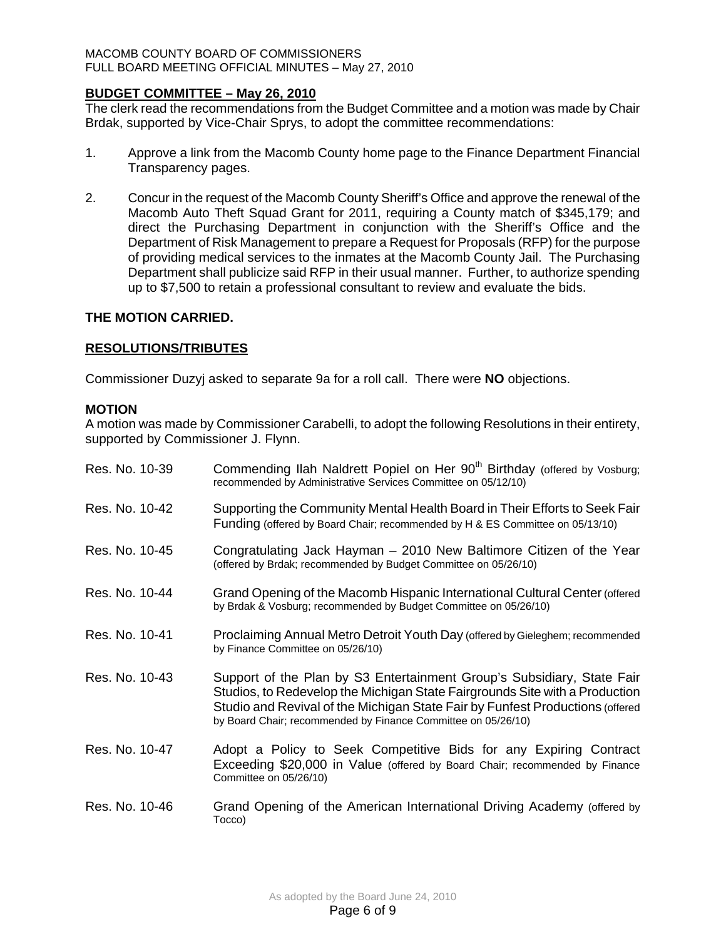### MACOMB COUNTY BOARD OF COMMISSIONERS FULL BOARD MEETING OFFICIAL MINUTES – May 27, 2010

## **BUDGET COMMITTEE – May 26, 2010**

The clerk read the recommendations from the Budget Committee and a motion was made by Chair Brdak, supported by Vice-Chair Sprys, to adopt the committee recommendations:

- 1. Approve a link from the Macomb County home page to the Finance Department Financial Transparency pages.
- 2. Concur in the request of the Macomb County Sheriff's Office and approve the renewal of the Macomb Auto Theft Squad Grant for 2011, requiring a County match of \$345,179; and direct the Purchasing Department in conjunction with the Sheriff's Office and the Department of Risk Management to prepare a Request for Proposals (RFP) for the purpose of providing medical services to the inmates at the Macomb County Jail. The Purchasing Department shall publicize said RFP in their usual manner. Further, to authorize spending up to \$7,500 to retain a professional consultant to review and evaluate the bids.

## **THE MOTION CARRIED.**

## **RESOLUTIONS/TRIBUTES**

Commissioner Duzyj asked to separate 9a for a roll call. There were **NO** objections.

## **MOTION**

A motion was made by Commissioner Carabelli, to adopt the following Resolutions in their entirety, supported by Commissioner J. Flynn.

| Res. No. 10-39 | Commending Ilah Naldrett Popiel on Her 90 <sup>th</sup> Birthday (offered by Vosburg;<br>recommended by Administrative Services Committee on 05/12/10)                                                                                                                                                  |
|----------------|---------------------------------------------------------------------------------------------------------------------------------------------------------------------------------------------------------------------------------------------------------------------------------------------------------|
| Res. No. 10-42 | Supporting the Community Mental Health Board in Their Efforts to Seek Fair<br>Funding (offered by Board Chair; recommended by H & ES Committee on 05/13/10)                                                                                                                                             |
| Res. No. 10-45 | Congratulating Jack Hayman – 2010 New Baltimore Citizen of the Year<br>(offered by Brdak; recommended by Budget Committee on 05/26/10)                                                                                                                                                                  |
| Res. No. 10-44 | Grand Opening of the Macomb Hispanic International Cultural Center (offered<br>by Brdak & Vosburg; recommended by Budget Committee on 05/26/10)                                                                                                                                                         |
| Res. No. 10-41 | Proclaiming Annual Metro Detroit Youth Day (offered by Gieleghem; recommended<br>by Finance Committee on 05/26/10)                                                                                                                                                                                      |
| Res. No. 10-43 | Support of the Plan by S3 Entertainment Group's Subsidiary, State Fair<br>Studios, to Redevelop the Michigan State Fairgrounds Site with a Production<br>Studio and Revival of the Michigan State Fair by Funfest Productions (offered<br>by Board Chair; recommended by Finance Committee on 05/26/10) |
| Res. No. 10-47 | Adopt a Policy to Seek Competitive Bids for any Expiring Contract<br>Exceeding \$20,000 in Value (offered by Board Chair; recommended by Finance<br>Committee on 05/26/10)                                                                                                                              |
| Res. No. 10-46 | Grand Opening of the American International Driving Academy (offered by<br>Tocco)                                                                                                                                                                                                                       |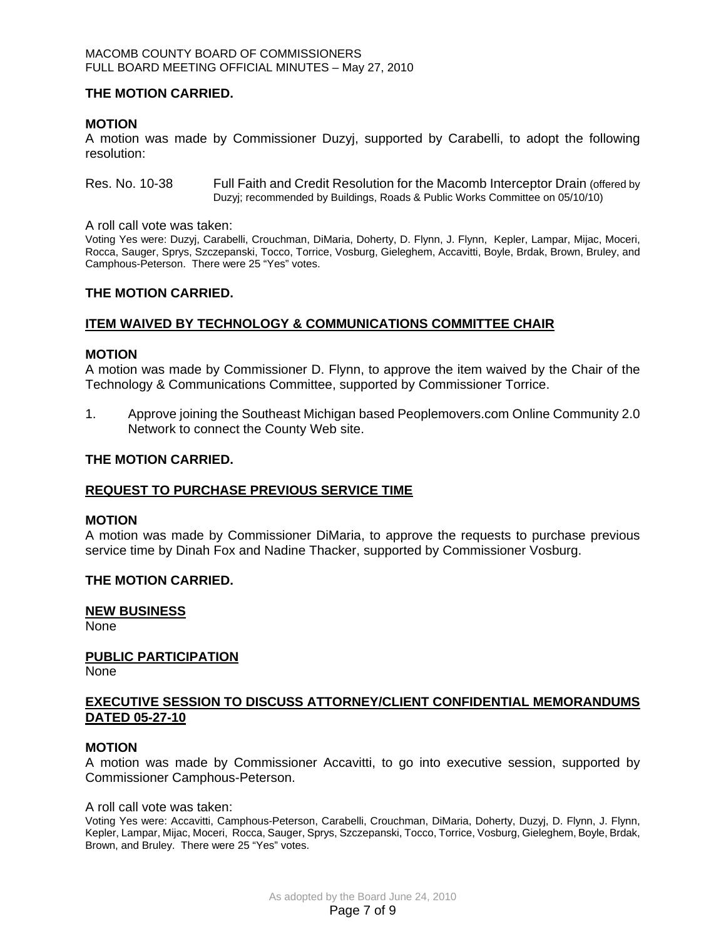#### MACOMB COUNTY BOARD OF COMMISSIONERS FULL BOARD MEETING OFFICIAL MINUTES – May 27, 2010

### **THE MOTION CARRIED.**

### **MOTION**

A motion was made by Commissioner Duzyj, supported by Carabelli, to adopt the following resolution:

Res. No. 10-38 Full Faith and Credit Resolution for the Macomb Interceptor Drain (offered by Duzyj; recommended by Buildings, Roads & Public Works Committee on 05/10/10)

A roll call vote was taken:

Voting Yes were: Duzyj, Carabelli, Crouchman, DiMaria, Doherty, D. Flynn, J. Flynn, Kepler, Lampar, Mijac, Moceri, Rocca, Sauger, Sprys, Szczepanski, Tocco, Torrice, Vosburg, Gieleghem, Accavitti, Boyle, Brdak, Brown, Bruley, and Camphous-Peterson. There were 25 "Yes" votes.

### **THE MOTION CARRIED.**

## **ITEM WAIVED BY TECHNOLOGY & COMMUNICATIONS COMMITTEE CHAIR**

#### **MOTION**

A motion was made by Commissioner D. Flynn, to approve the item waived by the Chair of the Technology & Communications Committee, supported by Commissioner Torrice.

1. Approve joining the Southeast Michigan based Peoplemovers.com Online Community 2.0 Network to connect the County Web site.

### **THE MOTION CARRIED.**

## **REQUEST TO PURCHASE PREVIOUS SERVICE TIME**

#### **MOTION**

A motion was made by Commissioner DiMaria, to approve the requests to purchase previous service time by Dinah Fox and Nadine Thacker, supported by Commissioner Vosburg.

## **THE MOTION CARRIED.**

## **NEW BUSINESS**

None

## **PUBLIC PARTICIPATION**

None

### **EXECUTIVE SESSION TO DISCUSS ATTORNEY/CLIENT CONFIDENTIAL MEMORANDUMS DATED 05-27-10**

#### **MOTION**

A motion was made by Commissioner Accavitti, to go into executive session, supported by Commissioner Camphous-Peterson.

#### A roll call vote was taken:

Voting Yes were: Accavitti, Camphous-Peterson, Carabelli, Crouchman, DiMaria, Doherty, Duzyj, D. Flynn, J. Flynn, Kepler, Lampar, Mijac, Moceri, Rocca, Sauger, Sprys, Szczepanski, Tocco, Torrice, Vosburg, Gieleghem, Boyle, Brdak, Brown, and Bruley. There were 25 "Yes" votes.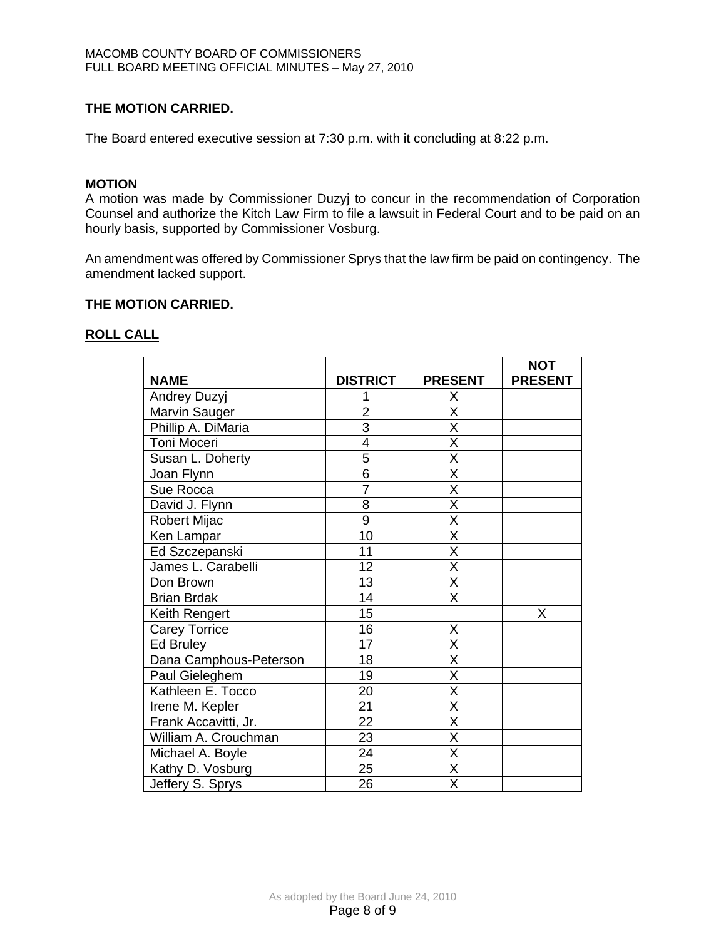## **THE MOTION CARRIED.**

The Board entered executive session at 7:30 p.m. with it concluding at 8:22 p.m.

## **MOTION**

A motion was made by Commissioner Duzyj to concur in the recommendation of Corporation Counsel and authorize the Kitch Law Firm to file a lawsuit in Federal Court and to be paid on an hourly basis, supported by Commissioner Vosburg.

An amendment was offered by Commissioner Sprys that the law firm be paid on contingency. The amendment lacked support.

### **THE MOTION CARRIED.**

### **ROLL CALL**

|                        |                 |                         | <b>NOT</b>     |
|------------------------|-----------------|-------------------------|----------------|
| <b>NAME</b>            | <b>DISTRICT</b> | <b>PRESENT</b>          | <b>PRESENT</b> |
| Andrey Duzyj           |                 | X                       |                |
| Marvin Sauger          | $\overline{2}$  | X                       |                |
| Phillip A. DiMaria     | $\overline{3}$  | $\overline{\mathsf{X}}$ |                |
| Toni Moceri            | $\overline{4}$  | $\overline{\mathsf{x}}$ |                |
| Susan L. Doherty       | $\overline{5}$  | $\overline{\mathsf{x}}$ |                |
| Joan Flynn             | $\overline{6}$  | $\overline{\mathsf{x}}$ |                |
| Sue Rocca              | $\overline{7}$  | $\overline{\mathsf{x}}$ |                |
| David J. Flynn         | 8               | $\overline{\mathsf{x}}$ |                |
| Robert Mijac           | 9               | $\overline{\mathsf{X}}$ |                |
| Ken Lampar             | 10              | $\overline{\mathsf{x}}$ |                |
| Ed Szczepanski         | 11              | $\overline{\mathsf{x}}$ |                |
| James L. Carabelli     | 12              | $\overline{\mathsf{x}}$ |                |
| Don Brown              | 13              | $\overline{\mathsf{x}}$ |                |
| <b>Brian Brdak</b>     | 14              | X                       |                |
| Keith Rengert          | 15              |                         | X              |
| <b>Carey Torrice</b>   | 16              | X                       |                |
| <b>Ed Bruley</b>       | 17              | $\overline{\mathsf{x}}$ |                |
| Dana Camphous-Peterson | 18              | $\overline{\mathsf{x}}$ |                |
| Paul Gieleghem         | 19              | $\overline{\mathsf{x}}$ |                |
| Kathleen E. Tocco      | 20              | $\overline{\mathsf{x}}$ |                |
| Irene M. Kepler        | $\overline{21}$ | $\overline{\mathsf{x}}$ |                |
| Frank Accavitti, Jr.   | 22              | $\overline{\mathsf{x}}$ |                |
| William A. Crouchman   | 23              | $\overline{\mathsf{x}}$ |                |
| Michael A. Boyle       | 24              | X                       |                |
| Kathy D. Vosburg       | 25              | $\overline{\mathsf{X}}$ |                |
| Jeffery S. Sprys       | 26              | X                       |                |